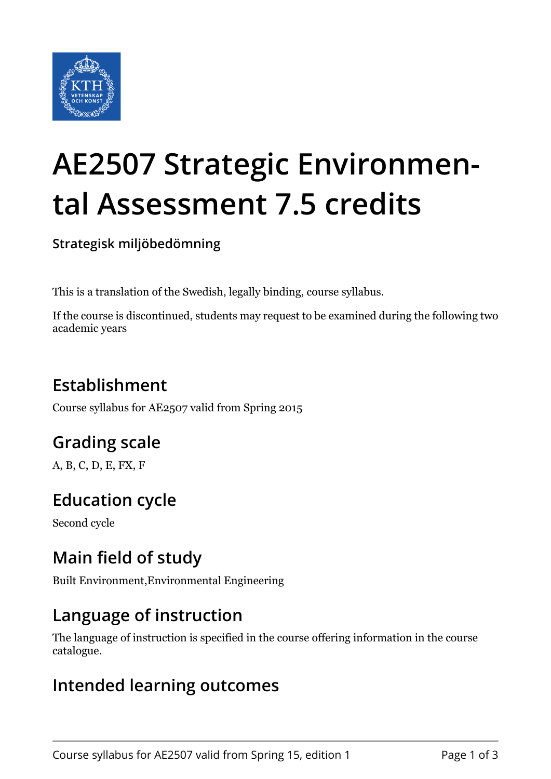

# **AE2507 Strategic Environmental Assessment 7.5 credits**

**Strategisk miljöbedömning**

This is a translation of the Swedish, legally binding, course syllabus.

If the course is discontinued, students may request to be examined during the following two academic years

## **Establishment**

Course syllabus for AE2507 valid from Spring 2015

# **Grading scale**

A, B, C, D, E, FX, F

# **Education cycle**

Second cycle

## **Main field of study**

Built Environment,Environmental Engineering

## **Language of instruction**

The language of instruction is specified in the course offering information in the course catalogue.

#### **Intended learning outcomes**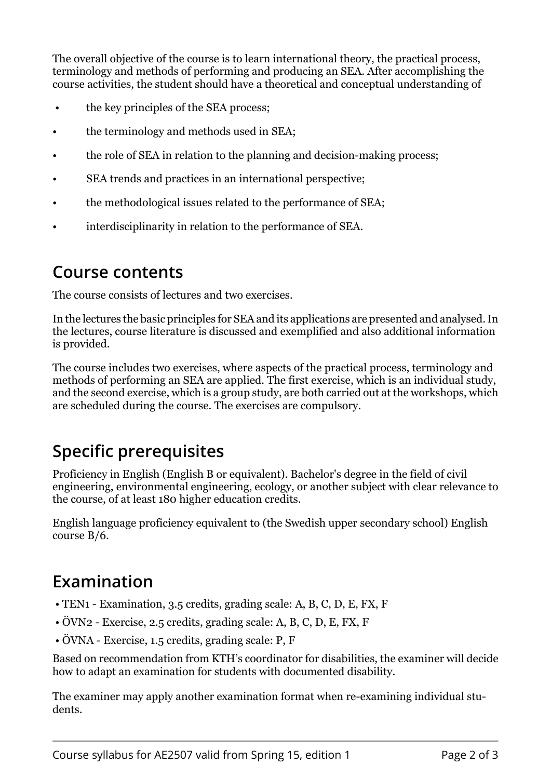The overall objective of the course is to learn international theory, the practical process, terminology and methods of performing and producing an SEA. After accomplishing the course activities, the student should have a theoretical and conceptual understanding of

- the key principles of the SEA process;
- the terminology and methods used in SEA;
- the role of SEA in relation to the planning and decision-making process:
- SEA trends and practices in an international perspective;
- the methodological issues related to the performance of SEA;
- interdisciplinarity in relation to the performance of SEA.

#### **Course contents**

The course consists of lectures and two exercises.

In the lectures the basic principles for SEA and its applications are presented and analysed. In the lectures, course literature is discussed and exemplified and also additional information is provided.

The course includes two exercises, where aspects of the practical process, terminology and methods of performing an SEA are applied. The first exercise, which is an individual study, and the second exercise, which is a group study, are both carried out at the workshops, which are scheduled during the course. The exercises are compulsory.

# **Specific prerequisites**

Proficiency in English (English B or equivalent). Bachelor's degree in the field of civil engineering, environmental engineering, ecology, or another subject with clear relevance to the course, of at least 180 higher education credits.

English language proficiency equivalent to (the Swedish upper secondary school) English course B/6.

#### **Examination**

- TEN1 Examination, 3.5 credits, grading scale: A, B, C, D, E, FX, F
- ÖVN2 Exercise, 2.5 credits, grading scale: A, B, C, D, E, FX, F
- ÖVNA Exercise, 1.5 credits, grading scale: P, F

Based on recommendation from KTH's coordinator for disabilities, the examiner will decide how to adapt an examination for students with documented disability.

The examiner may apply another examination format when re-examining individual students.